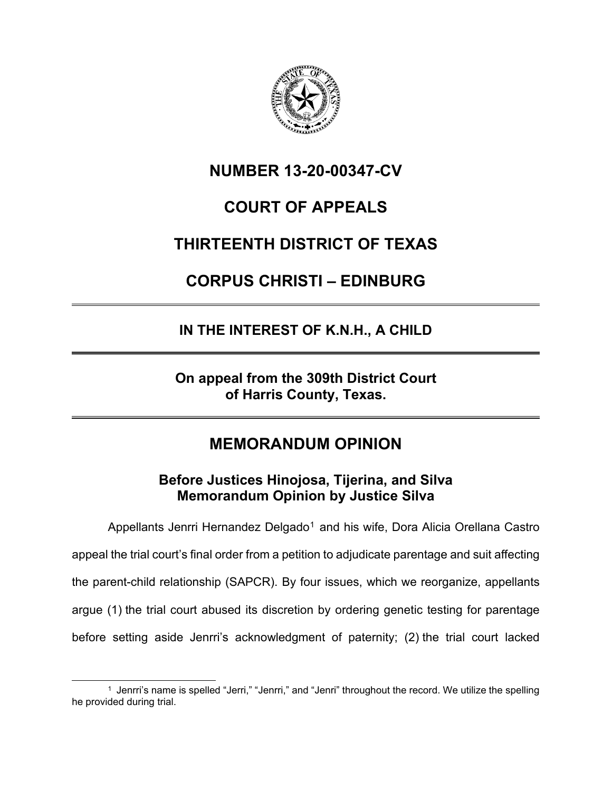

**NUMBER 13-20-00347-CV**

## **COURT OF APPEALS**

## **THIRTEENTH DISTRICT OF TEXAS**

# **CORPUS CHRISTI – EDINBURG**

## **IN THE INTEREST OF K.N.H., A CHILD**

**On appeal from the 309th District Court of Harris County, Texas.**

## **MEMORANDUM OPINION**

### **Before Justices Hinojosa, Tijerina, and Silva Memorandum Opinion by Justice Silva**

Appellants Jenrri Hernandez Delgado<sup>[1](#page-0-0)</sup> and his wife, Dora Alicia Orellana Castro appeal the trial court's final order from a petition to adjudicate parentage and suit affecting the parent-child relationship (SAPCR). By four issues, which we reorganize, appellants argue (1) the trial court abused its discretion by ordering genetic testing for parentage before setting aside Jenrri's acknowledgment of paternity; (2) the trial court lacked

<span id="page-0-0"></span><sup>&</sup>lt;sup>1</sup> Jenrri's name is spelled "Jerri," "Jenrri," and "Jenri" throughout the record. We utilize the spelling he provided during trial.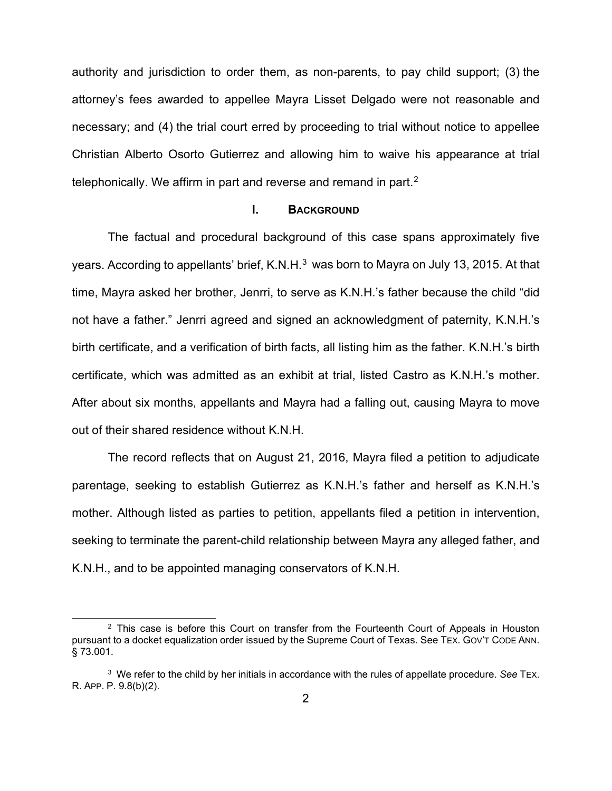authority and jurisdiction to order them, as non-parents, to pay child support; (3) the attorney's fees awarded to appellee Mayra Lisset Delgado were not reasonable and necessary; and (4) the trial court erred by proceeding to trial without notice to appellee Christian Alberto Osorto Gutierrez and allowing him to waive his appearance at trial telephonically. We affirm in part and reverse and remand in part.<sup>[2](#page-1-0)</sup>

#### **I. BACKGROUND**

The factual and procedural background of this case spans approximately five years. According to appellants' brief, K.N.H.<sup>[3](#page-1-1)</sup> was born to Mayra on July 13, 2015. At that time, Mayra asked her brother, Jenrri, to serve as K.N.H.'s father because the child "did not have a father." Jenrri agreed and signed an acknowledgment of paternity, K.N.H.'s birth certificate, and a verification of birth facts, all listing him as the father. K.N.H.'s birth certificate, which was admitted as an exhibit at trial, listed Castro as K.N.H.'s mother. After about six months, appellants and Mayra had a falling out, causing Mayra to move out of their shared residence without K.N.H.

The record reflects that on August 21, 2016, Mayra filed a petition to adjudicate parentage, seeking to establish Gutierrez as K.N.H.'s father and herself as K.N.H.'s mother. Although listed as parties to petition, appellants filed a petition in intervention, seeking to terminate the parent-child relationship between Mayra any alleged father, and K.N.H., and to be appointed managing conservators of K.N.H.

<span id="page-1-0"></span><sup>&</sup>lt;sup>2</sup> This case is before this Court on transfer from the Fourteenth Court of Appeals in Houston pursuant to a docket equalization order issued by the Supreme Court of Texas. See TEX. GOV'T CODE ANN. § 73.001.

<span id="page-1-1"></span><sup>3</sup> We refer to the child by her initials in accordance with the rules of appellate procedure. *See* TEX. R. APP. P. 9.8(b)(2).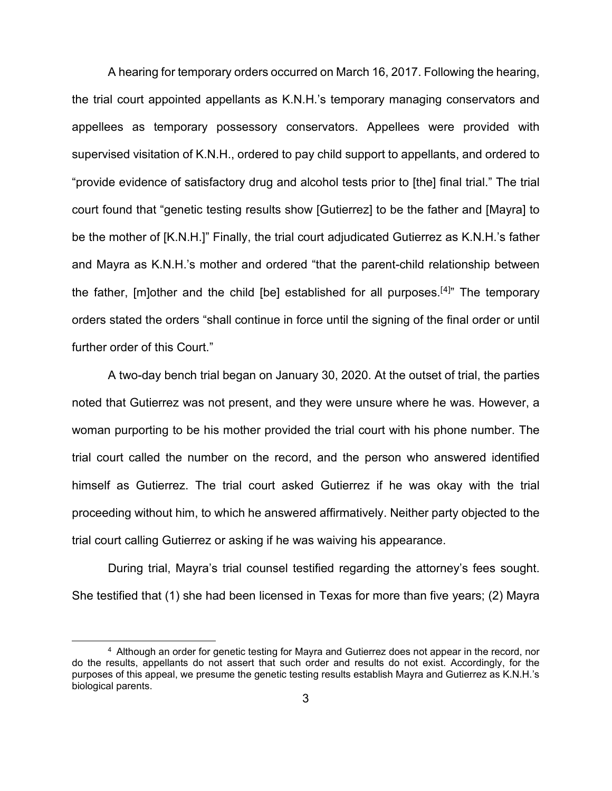A hearing for temporary orders occurred on March 16, 2017. Following the hearing, the trial court appointed appellants as K.N.H.'s temporary managing conservators and appellees as temporary possessory conservators. Appellees were provided with supervised visitation of K.N.H., ordered to pay child support to appellants, and ordered to "provide evidence of satisfactory drug and alcohol tests prior to [the] final trial." The trial court found that "genetic testing results show [Gutierrez] to be the father and [Mayra] to be the mother of [K.N.H.]" Finally, the trial court adjudicated Gutierrez as K.N.H.'s father and Mayra as K.N.H.'s mother and ordered "that the parent-child relationship between the father, [m]other and the child [be] established for all purposes.<sup>[[4](#page-2-0)]</sup>" The temporary orders stated the orders "shall continue in force until the signing of the final order or until further order of this Court."

A two-day bench trial began on January 30, 2020. At the outset of trial, the parties noted that Gutierrez was not present, and they were unsure where he was. However, a woman purporting to be his mother provided the trial court with his phone number. The trial court called the number on the record, and the person who answered identified himself as Gutierrez. The trial court asked Gutierrez if he was okay with the trial proceeding without him, to which he answered affirmatively. Neither party objected to the trial court calling Gutierrez or asking if he was waiving his appearance.

During trial, Mayra's trial counsel testified regarding the attorney's fees sought. She testified that (1) she had been licensed in Texas for more than five years; (2) Mayra

<span id="page-2-0"></span><sup>4</sup> Although an order for genetic testing for Mayra and Gutierrez does not appear in the record, nor do the results, appellants do not assert that such order and results do not exist. Accordingly, for the purposes of this appeal, we presume the genetic testing results establish Mayra and Gutierrez as K.N.H.'s biological parents.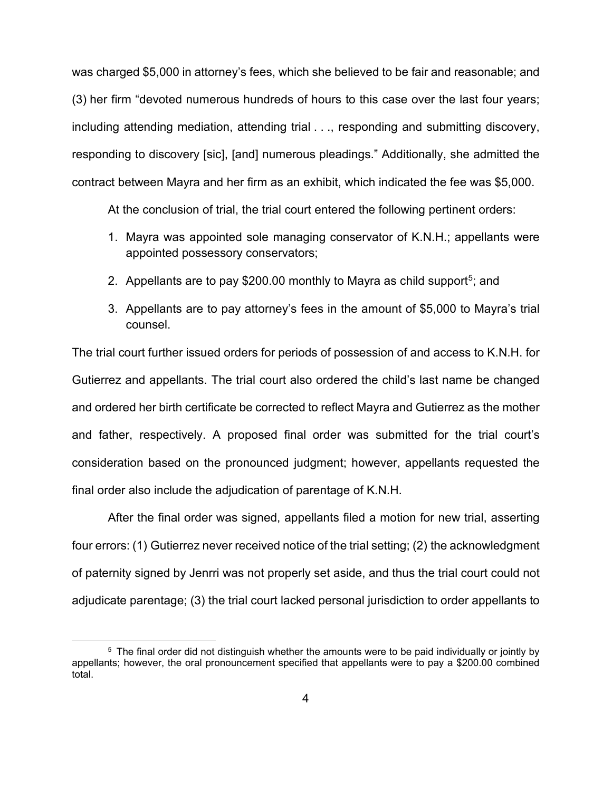was charged \$5,000 in attorney's fees, which she believed to be fair and reasonable; and (3) her firm "devoted numerous hundreds of hours to this case over the last four years; including attending mediation, attending trial . . ., responding and submitting discovery, responding to discovery [sic], [and] numerous pleadings." Additionally, she admitted the contract between Mayra and her firm as an exhibit, which indicated the fee was \$5,000.

At the conclusion of trial, the trial court entered the following pertinent orders:

- 1. Mayra was appointed sole managing conservator of K.N.H.; appellants were appointed possessory conservators;
- 2. Appellants are to pay \$200.00 monthly to Mayra as child support<sup>[5](#page-3-0)</sup>; and
- 3. Appellants are to pay attorney's fees in the amount of \$5,000 to Mayra's trial counsel.

The trial court further issued orders for periods of possession of and access to K.N.H. for Gutierrez and appellants. The trial court also ordered the child's last name be changed and ordered her birth certificate be corrected to reflect Mayra and Gutierrez as the mother and father, respectively. A proposed final order was submitted for the trial court's consideration based on the pronounced judgment; however, appellants requested the final order also include the adjudication of parentage of K.N.H.

After the final order was signed, appellants filed a motion for new trial, asserting four errors: (1) Gutierrez never received notice of the trial setting; (2) the acknowledgment of paternity signed by Jenrri was not properly set aside, and thus the trial court could not adjudicate parentage; (3) the trial court lacked personal jurisdiction to order appellants to

<span id="page-3-0"></span><sup>5</sup> The final order did not distinguish whether the amounts were to be paid individually or jointly by appellants; however, the oral pronouncement specified that appellants were to pay a \$200.00 combined total.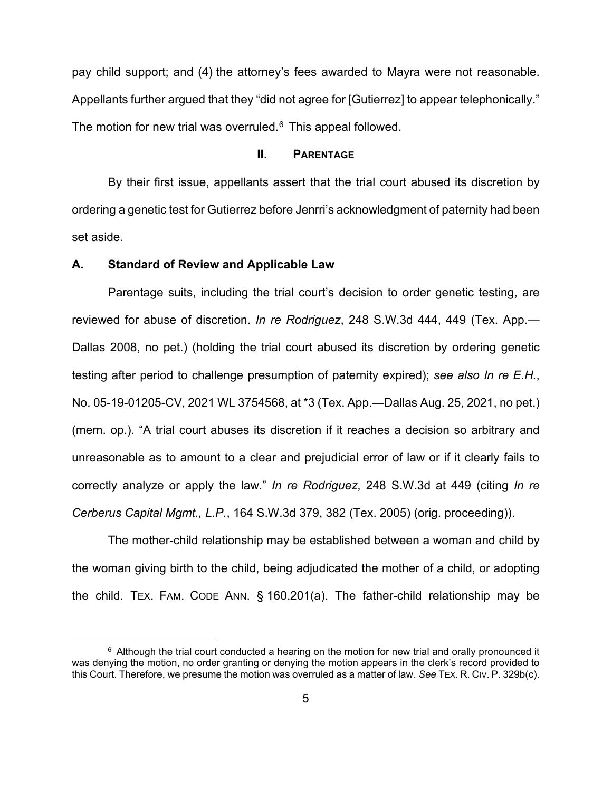pay child support; and (4) the attorney's fees awarded to Mayra were not reasonable. Appellants further argued that they "did not agree for [Gutierrez] to appear telephonically." The motion for new trial was overruled. $6$  This appeal followed.

#### **II. PARENTAGE**

By their first issue, appellants assert that the trial court abused its discretion by ordering a genetic test for Gutierrez before Jenrri's acknowledgment of paternity had been set aside.

#### **A. Standard of Review and Applicable Law**

Parentage suits, including the trial court's decision to order genetic testing, are reviewed for abuse of discretion. *In re Rodriguez*, 248 S.W.3d 444, 449 (Tex. App.— Dallas 2008, no pet.) (holding the trial court abused its discretion by ordering genetic testing after period to challenge presumption of paternity expired); *see also In re E.H.*, No. 05-19-01205-CV, 2021 WL 3754568, at \*3 (Tex. App.—Dallas Aug. 25, 2021, no pet.) (mem. op.). "A trial court abuses its discretion if it reaches a decision so arbitrary and unreasonable as to amount to a clear and prejudicial error of law or if it clearly fails to correctly analyze or apply the law." *In re Rodriguez*, 248 S.W.3d at 449 (citing *In re Cerberus Capital Mgmt., L.P.*, 164 S.W.3d 379, 382 (Tex. 2005) (orig. proceeding)).

The mother-child relationship may be established between a woman and child by the woman giving birth to the child, being adjudicated the mother of a child, or adopting the child. TEX. FAM. CODE ANN. § 160.201(a). The father-child relationship may be

<span id="page-4-0"></span> $6$  Although the trial court conducted a hearing on the motion for new trial and orally pronounced it was denying the motion, no order granting or denying the motion appears in the clerk's record provided to this Court. Therefore, we presume the motion was overruled as a matter of law. *See* TEX. R. CIV. P. 329b(c).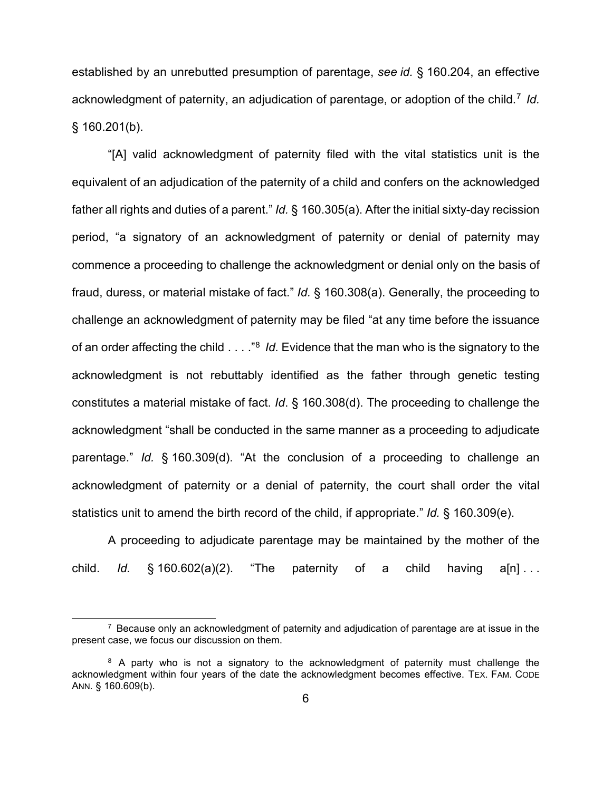established by an unrebutted presumption of parentage, *see id.* § 160.204, an effective acknowledgment of paternity, an adjudication of parentage, or adoption of the child.<sup>[7](#page-5-0)</sup> *Id.* § 160.201(b).

"[A] valid acknowledgment of paternity filed with the vital statistics unit is the equivalent of an adjudication of the paternity of a child and confers on the acknowledged father all rights and duties of a parent." *Id.* § 160.305(a). After the initial sixty-day recission period, "a signatory of an acknowledgment of paternity or denial of paternity may commence a proceeding to challenge the acknowledgment or denial only on the basis of fraud, duress, or material mistake of fact." *Id.* § 160.308(a). Generally, the proceeding to challenge an acknowledgment of paternity may be filed "at any time before the issuance of an order affecting the child . . . ."[8](#page-5-1) *Id.* Evidence that the man who is the signatory to the acknowledgment is not rebuttably identified as the father through genetic testing constitutes a material mistake of fact. *Id*. § 160.308(d). The proceeding to challenge the acknowledgment "shall be conducted in the same manner as a proceeding to adjudicate parentage." *Id.* § 160.309(d). "At the conclusion of a proceeding to challenge an acknowledgment of paternity or a denial of paternity, the court shall order the vital statistics unit to amend the birth record of the child, if appropriate." *Id.* § 160.309(e).

A proceeding to adjudicate parentage may be maintained by the mother of the child. *Id.*  $\S$  160.602(a)(2). "The paternity of a child having a[n]...

<span id="page-5-0"></span> $7$  Because only an acknowledgment of paternity and adjudication of parentage are at issue in the present case, we focus our discussion on them.

<span id="page-5-1"></span><sup>&</sup>lt;sup>8</sup> A party who is not a signatory to the acknowledgment of paternity must challenge the acknowledgment within four years of the date the acknowledgment becomes effective. TEX. FAM. CODE ANN. § 160.609(b).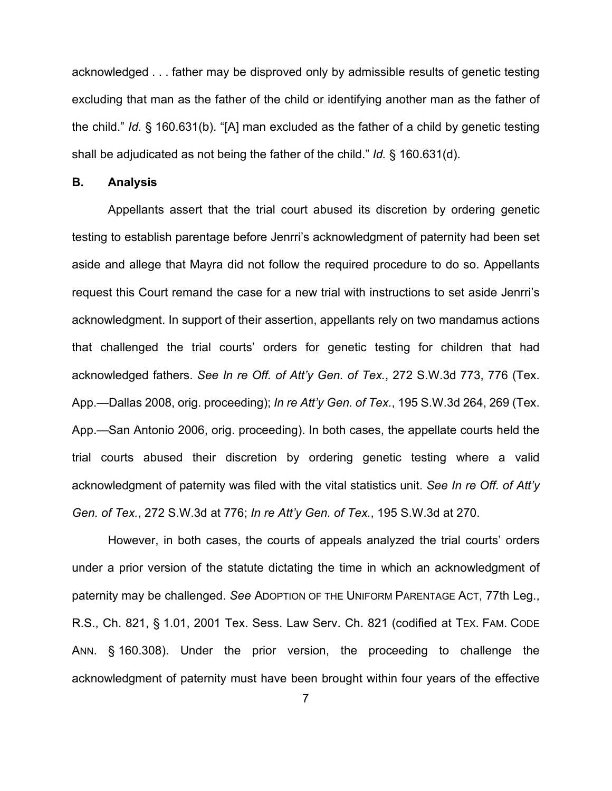acknowledged . . . father may be disproved only by admissible results of genetic testing excluding that man as the father of the child or identifying another man as the father of the child." *Id.* § 160.631(b). "[A] man excluded as the father of a child by genetic testing shall be adjudicated as not being the father of the child." *Id.* § 160.631(d).

#### **B. Analysis**

Appellants assert that the trial court abused its discretion by ordering genetic testing to establish parentage before Jenrri's acknowledgment of paternity had been set aside and allege that Mayra did not follow the required procedure to do so. Appellants request this Court remand the case for a new trial with instructions to set aside Jenrri's acknowledgment. In support of their assertion, appellants rely on two mandamus actions that challenged the trial courts' orders for genetic testing for children that had acknowledged fathers. *See In re Off. of Att'y Gen. of Tex.*, 272 S.W.3d 773, 776 (Tex. App.—Dallas 2008, orig. proceeding); *In re Att'y Gen. of Tex.*, 195 S.W.3d 264, 269 (Tex. App.—San Antonio 2006, orig. proceeding). In both cases, the appellate courts held the trial courts abused their discretion by ordering genetic testing where a valid acknowledgment of paternity was filed with the vital statistics unit. *See In re Off. of Att'y Gen. of Tex.*, 272 S.W.3d at 776; *In re Att'y Gen. of Tex.*, 195 S.W.3d at 270.

However, in both cases, the courts of appeals analyzed the trial courts' orders under a prior version of the statute dictating the time in which an acknowledgment of paternity may be challenged. *See* ADOPTION OF THE UNIFORM PARENTAGE ACT, 77th Leg., R.S., Ch. 821, § 1.01, 2001 Tex. Sess. Law Serv. Ch. 821 (codified at TEX. FAM. CODE ANN. § 160.308). Under the prior version, the proceeding to challenge the acknowledgment of paternity must have been brought within four years of the effective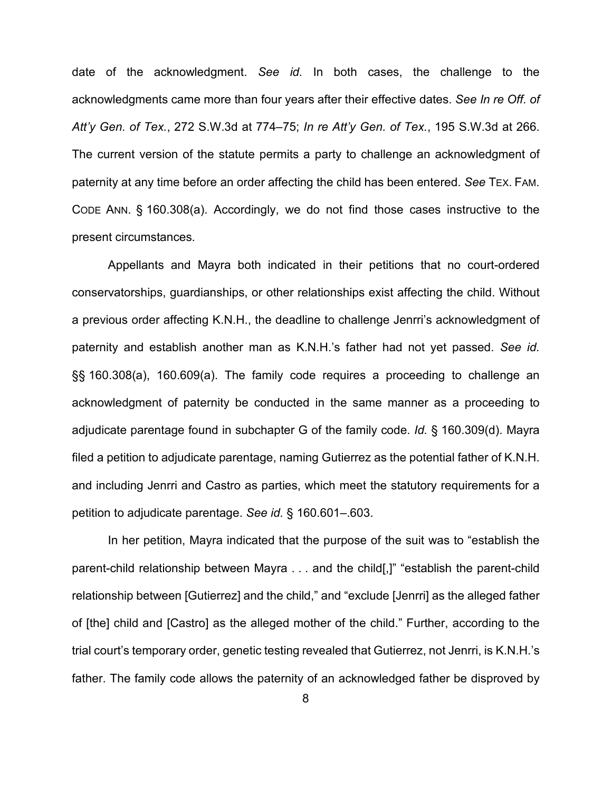date of the acknowledgment. *See id.* In both cases, the challenge to the acknowledgments came more than four years after their effective dates. *See In re Off. of Att'y Gen. of Tex.*, 272 S.W.3d at 774–75; *In re Att'y Gen. of Tex.*, 195 S.W.3d at 266. The current version of the statute permits a party to challenge an acknowledgment of paternity at any time before an order affecting the child has been entered. *See* TEX. FAM. CODE ANN. § 160.308(a). Accordingly, we do not find those cases instructive to the present circumstances.

Appellants and Mayra both indicated in their petitions that no court-ordered conservatorships, guardianships, or other relationships exist affecting the child. Without a previous order affecting K.N.H., the deadline to challenge Jenrri's acknowledgment of paternity and establish another man as K.N.H.'s father had not yet passed. *See id.* §§ 160.308(a), 160.609(a). The family code requires a proceeding to challenge an acknowledgment of paternity be conducted in the same manner as a proceeding to adjudicate parentage found in subchapter G of the family code. *Id.* § 160.309(d). Mayra filed a petition to adjudicate parentage, naming Gutierrez as the potential father of K.N.H. and including Jenrri and Castro as parties, which meet the statutory requirements for a petition to adjudicate parentage. *See id.* § 160.601–.603.

In her petition, Mayra indicated that the purpose of the suit was to "establish the parent-child relationship between Mayra . . . and the child[,]" "establish the parent-child relationship between [Gutierrez] and the child," and "exclude [Jenrri] as the alleged father of [the] child and [Castro] as the alleged mother of the child." Further, according to the trial court's temporary order, genetic testing revealed that Gutierrez, not Jenrri, is K.N.H.'s father. The family code allows the paternity of an acknowledged father be disproved by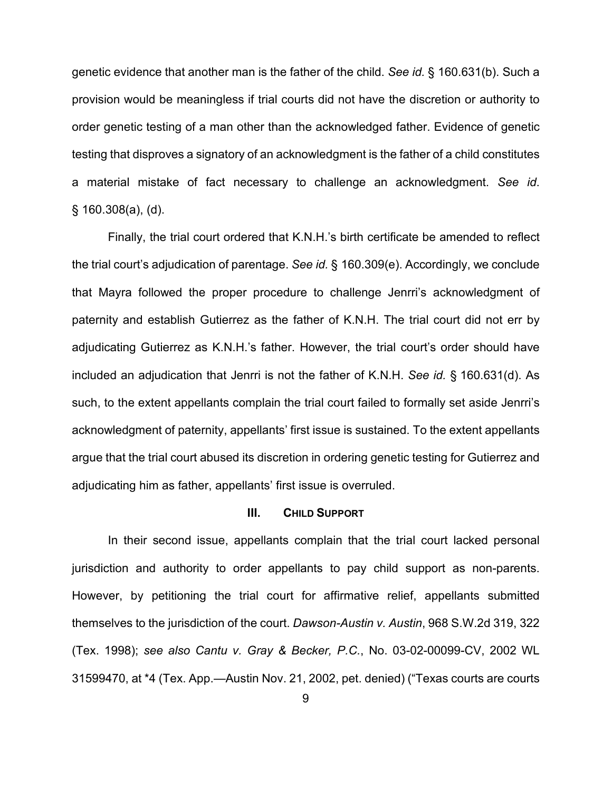genetic evidence that another man is the father of the child. *See id.* § 160.631(b). Such a provision would be meaningless if trial courts did not have the discretion or authority to order genetic testing of a man other than the acknowledged father. Evidence of genetic testing that disproves a signatory of an acknowledgment is the father of a child constitutes a material mistake of fact necessary to challenge an acknowledgment. *See id*. § 160.308(a), (d).

Finally, the trial court ordered that K.N.H.'s birth certificate be amended to reflect the trial court's adjudication of parentage. *See id.* § 160.309(e). Accordingly, we conclude that Mayra followed the proper procedure to challenge Jenrri's acknowledgment of paternity and establish Gutierrez as the father of K.N.H. The trial court did not err by adjudicating Gutierrez as K.N.H.'s father. However, the trial court's order should have included an adjudication that Jenrri is not the father of K.N.H. *See id.* § 160.631(d). As such, to the extent appellants complain the trial court failed to formally set aside Jenrri's acknowledgment of paternity, appellants' first issue is sustained. To the extent appellants argue that the trial court abused its discretion in ordering genetic testing for Gutierrez and adjudicating him as father, appellants' first issue is overruled.

#### **III. CHILD SUPPORT**

In their second issue, appellants complain that the trial court lacked personal jurisdiction and authority to order appellants to pay child support as non-parents. However, by petitioning the trial court for affirmative relief, appellants submitted themselves to the jurisdiction of the court. *Dawson-Austin v. Austin*, 968 S.W.2d 319, 322 (Tex. 1998); *see also Cantu v. Gray & Becker, P.C.*, No. 03-02-00099-CV, 2002 WL 31599470, at \*4 (Tex. App.—Austin Nov. 21, 2002, pet. denied) ("Texas courts are courts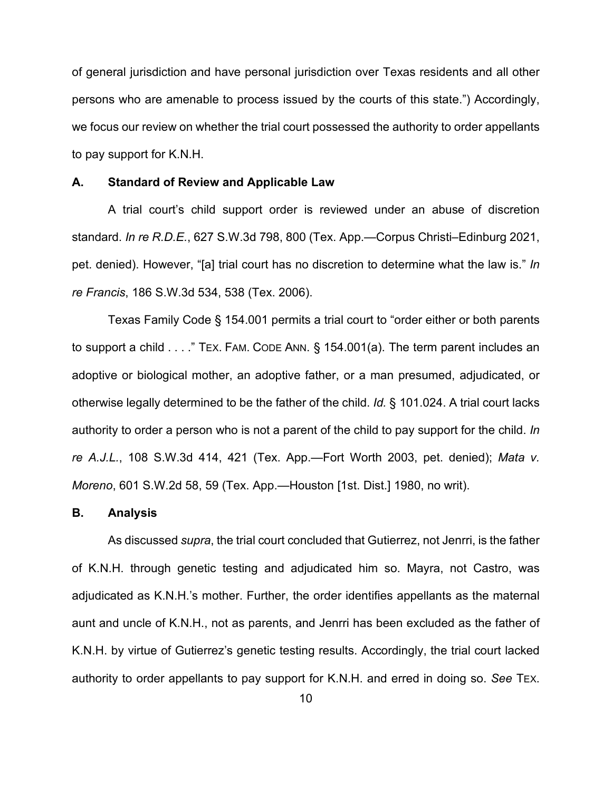of general jurisdiction and have personal jurisdiction over Texas residents and all other persons who are amenable to process issued by the courts of this state.") Accordingly, we focus our review on whether the trial court possessed the authority to order appellants to pay support for K.N.H.

#### **A. Standard of Review and Applicable Law**

A trial court's child support order is reviewed under an abuse of discretion standard. *In re R.D.E.*, 627 S.W.3d 798, 800 (Tex. App.—Corpus Christi–Edinburg 2021, pet. denied). However, "[a] trial court has no discretion to determine what the law is." *In re Francis*, 186 S.W.3d 534, 538 (Tex. 2006).

Texas Family Code § 154.001 permits a trial court to "order either or both parents to support a child . . . ." TEX. FAM. CODE ANN. § 154.001(a). The term parent includes an adoptive or biological mother, an adoptive father, or a man presumed, adjudicated, or otherwise legally determined to be the father of the child. *Id.* § 101.024. A trial court lacks authority to order a person who is not a parent of the child to pay support for the child. *In re A.J.L.*, 108 S.W.3d 414, 421 (Tex. App.—Fort Worth 2003, pet. denied); *Mata v. Moreno*, 601 S.W.2d 58, 59 (Tex. App.—Houston [1st. Dist.] 1980, no writ).

#### **B. Analysis**

As discussed *supra*, the trial court concluded that Gutierrez, not Jenrri, is the father of K.N.H. through genetic testing and adjudicated him so. Mayra, not Castro, was adjudicated as K.N.H.'s mother. Further, the order identifies appellants as the maternal aunt and uncle of K.N.H., not as parents, and Jenrri has been excluded as the father of K.N.H. by virtue of Gutierrez's genetic testing results. Accordingly, the trial court lacked authority to order appellants to pay support for K.N.H. and erred in doing so. *See* TEX.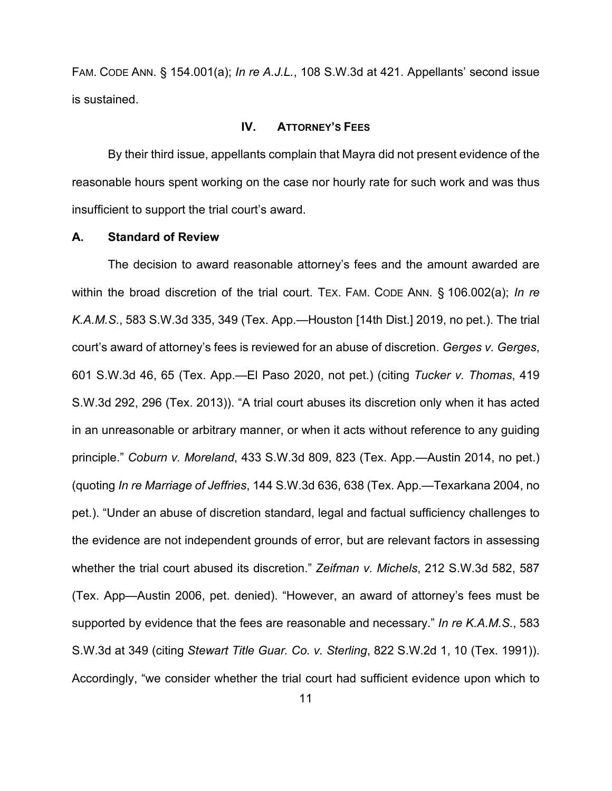FAM. CODE ANN. § 154.001(a); *In re A.J.L.*, 108 S.W.3d at 421. Appellants' second issue is sustained.

### **IV. ATTORNEY'S FEES**

By their third issue, appellants complain that Mayra did not present evidence of the reasonable hours spent working on the case nor hourly rate for such work and was thus insufficient to support the trial court's award.

#### **A. Standard of Review**

The decision to award reasonable attorney's fees and the amount awarded are within the broad discretion of the trial court. TEX. FAM. CODE ANN. § 106.002(a); *In re K.A.M.S.*, 583 S.W.3d 335, 349 (Tex. App.—Houston [14th Dist.] 2019, no pet.). The trial court's award of attorney's fees is reviewed for an abuse of discretion. *Gerges v. Gerges*, 601 S.W.3d 46, 65 (Tex. App.—El Paso 2020, not pet.) (citing *Tucker v. Thomas*, 419 S.W.3d 292, 296 (Tex. 2013)). "A trial court abuses its discretion only when it has acted in an unreasonable or arbitrary manner, or when it acts without reference to any guiding principle." *Coburn v. Moreland*, 433 S.W.3d 809, 823 (Tex. App.—Austin 2014, no pet.) (quoting *In re Marriage of Jeffries*, 144 S.W.3d 636, 638 (Tex. App.—Texarkana 2004, no pet.). "Under an abuse of discretion standard, legal and factual sufficiency challenges to the evidence are not independent grounds of error, but are relevant factors in assessing whether the trial court abused its discretion." *Zeifman v. Michels*, 212 S.W.3d 582, 587 (Tex. App—Austin 2006, pet. denied). "However, an award of attorney's fees must be supported by evidence that the fees are reasonable and necessary." *In re K.A.M.S.*, 583 S.W.3d at 349 (citing *Stewart Title Guar. Co. v. Sterling*, 822 S.W.2d 1, 10 (Tex. 1991)). Accordingly, "we consider whether the trial court had sufficient evidence upon which to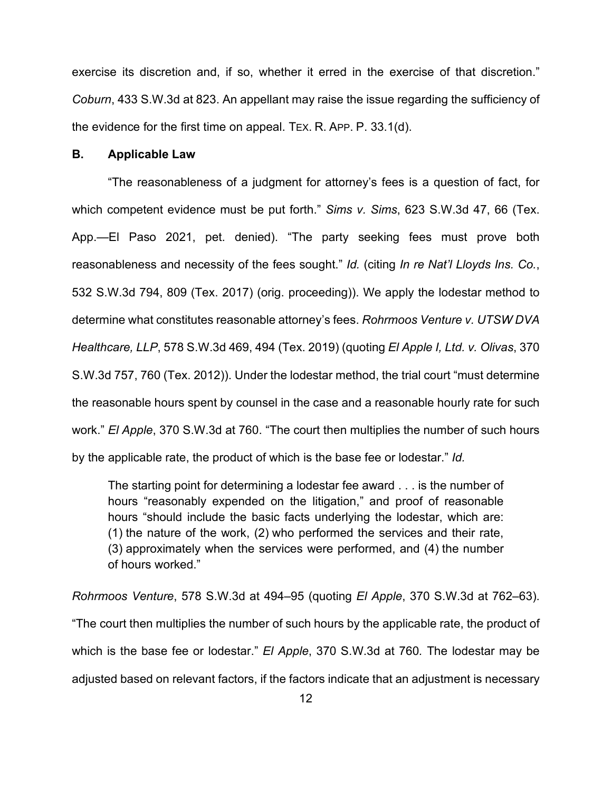exercise its discretion and, if so, whether it erred in the exercise of that discretion." *Coburn*, 433 S.W.3d at 823. An appellant may raise the issue regarding the sufficiency of the evidence for the first time on appeal. TEX. R. APP. P. 33.1(d).

#### **B. Applicable Law**

"The reasonableness of a judgment for attorney's fees is a question of fact, for which competent evidence must be put forth." *Sims v. Sims*, 623 S.W.3d 47, 66 (Tex. App.—El Paso 2021, pet. denied). "The party seeking fees must prove both reasonableness and necessity of the fees sought." *Id.* (citing *In re Nat'l Lloyds Ins. Co.*, 532 S.W.3d 794, 809 (Tex. 2017) (orig. proceeding)). We apply the lodestar method to determine what constitutes reasonable attorney's fees. *Rohrmoos Venture v. UTSW DVA Healthcare, LLP*, 578 S.W.3d 469, 494 (Tex. 2019) (quoting *El Apple I, Ltd. v. Olivas*, 370 S.W.3d 757, 760 (Tex. 2012)). Under the lodestar method, the trial court "must determine the reasonable hours spent by counsel in the case and a reasonable hourly rate for such work." *El Apple*, 370 S.W.3d at 760. "The court then multiplies the number of such hours by the applicable rate, the product of which is the base fee or lodestar." *Id.*

The starting point for determining a lodestar fee award . . . is the number of hours "reasonably expended on the litigation," and proof of reasonable hours "should include the basic facts underlying the lodestar, which are: (1) the nature of the work, (2) who performed the services and their rate, (3) approximately when the services were performed, and (4) the number of hours worked."

*Rohrmoos Venture*, 578 S.W.3d at 494–95 (quoting *El Apple*, 370 S.W.3d at 762–63). "The court then multiplies the number of such hours by the applicable rate, the product of which is the base fee or lodestar." *El Apple*, 370 S.W.3d at 760*.* The lodestar may be adjusted based on relevant factors, if the factors indicate that an adjustment is necessary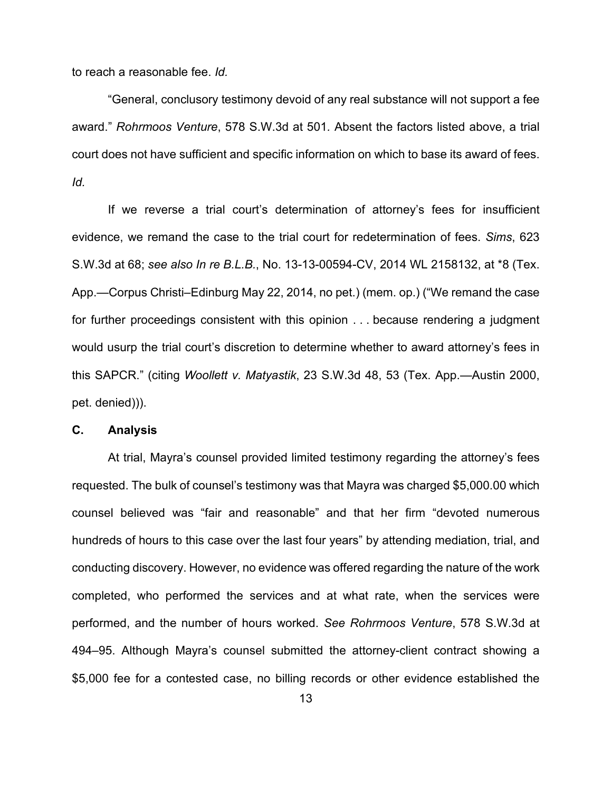to reach a reasonable fee. *Id.*

"General, conclusory testimony devoid of any real substance will not support a fee award." *Rohrmoos Venture*, 578 S.W.3d at 501*.* Absent the factors listed above, a trial court does not have sufficient and specific information on which to base its award of fees. *Id.*

If we reverse a trial court's determination of attorney's fees for insufficient evidence, we remand the case to the trial court for redetermination of fees. *Sims*, 623 S.W.3d at 68; *see also In re B.L.B.*, No. 13-13-00594-CV, 2014 WL 2158132, at \*8 (Tex. App.—Corpus Christi–Edinburg May 22, 2014, no pet.) (mem. op.) ("We remand the case for further proceedings consistent with this opinion . . . because rendering a judgment would usurp the trial court's discretion to determine whether to award attorney's fees in this SAPCR." (citing *Woollett v. Matyastik*, 23 S.W.3d 48, 53 (Tex. App.—Austin 2000, pet. denied))).

#### **C. Analysis**

At trial, Mayra's counsel provided limited testimony regarding the attorney's fees requested. The bulk of counsel's testimony was that Mayra was charged \$5,000.00 which counsel believed was "fair and reasonable" and that her firm "devoted numerous hundreds of hours to this case over the last four years" by attending mediation, trial, and conducting discovery. However, no evidence was offered regarding the nature of the work completed, who performed the services and at what rate, when the services were performed, and the number of hours worked. *See Rohrmoos Venture*, 578 S.W.3d at 494–95. Although Mayra's counsel submitted the attorney-client contract showing a \$5,000 fee for a contested case, no billing records or other evidence established the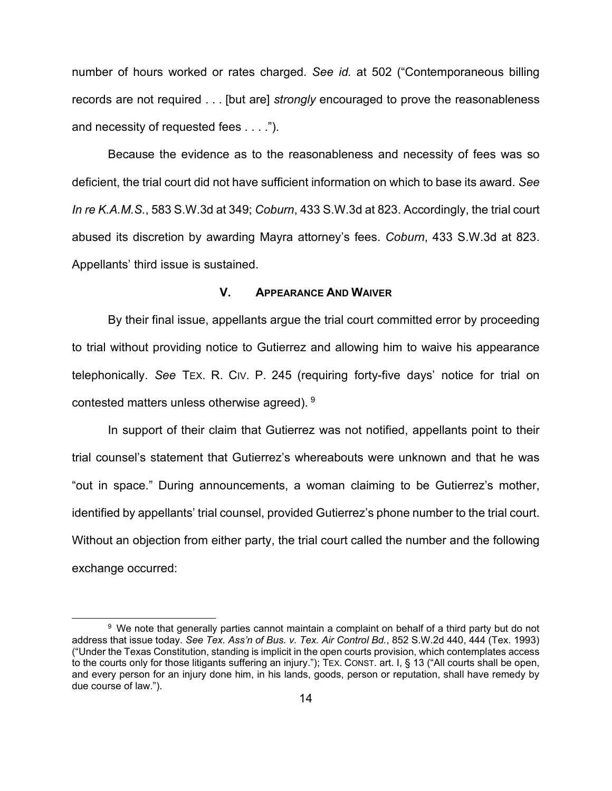number of hours worked or rates charged. *See id.* at 502 ("Contemporaneous billing records are not required . . . [but are] *strongly* encouraged to prove the reasonableness and necessity of requested fees . . . .").

Because the evidence as to the reasonableness and necessity of fees was so deficient, the trial court did not have sufficient information on which to base its award. *See In re K.A.M.S.*, 583 S.W.3d at 349; *Coburn*, 433 S.W.3d at 823. Accordingly, the trial court abused its discretion by awarding Mayra attorney's fees. *Coburn*, 433 S.W.3d at 823. Appellants' third issue is sustained.

#### **V. APPEARANCE AND WAIVER**

By their final issue, appellants argue the trial court committed error by proceeding to trial without providing notice to Gutierrez and allowing him to waive his appearance telephonically. *See* TEX. R. CIV. P. 245 (requiring forty-five days' notice for trial on contested matters unless otherwise agreed). [9](#page-13-0)

In support of their claim that Gutierrez was not notified, appellants point to their trial counsel's statement that Gutierrez's whereabouts were unknown and that he was "out in space." During announcements, a woman claiming to be Gutierrez's mother, identified by appellants' trial counsel, provided Gutierrez's phone number to the trial court. Without an objection from either party, the trial court called the number and the following exchange occurred:

<span id="page-13-0"></span><sup>9</sup> We note that generally parties cannot maintain a complaint on behalf of a third party but do not address that issue today. *See Tex. Ass'n of Bus. v. Tex. Air Control Bd.*, 852 S.W.2d 440, 444 (Tex. 1993) ("Under the Texas Constitution, standing is implicit in the open courts provision, which contemplates access to the courts only for those litigants suffering an injury."); TEX. CONST. art. I, § 13 ("All courts shall be open, and every person for an injury done him, in his lands, goods, person or reputation, shall have remedy by due course of law.").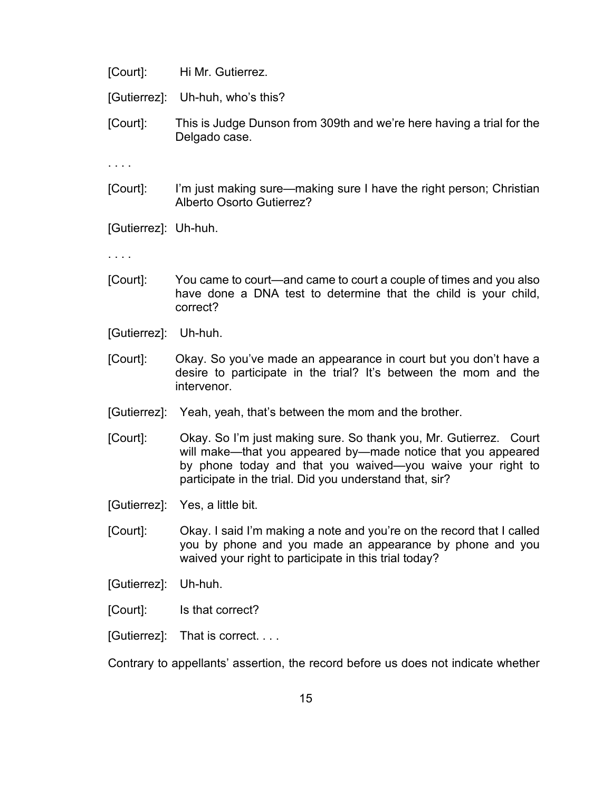[Court]: Hi Mr. Gutierrez.

[Gutierrez]: Uh-huh, who's this?

[Court]: This is Judge Dunson from 309th and we're here having a trial for the Delgado case.

. . . .

[Court]: I'm just making sure—making sure I have the right person; Christian Alberto Osorto Gutierrez?

[Gutierrez]: Uh-huh.

. . . .

- [Court]: You came to court—and came to court a couple of times and you also have done a DNA test to determine that the child is your child, correct?
- [Gutierrez]: Uh-huh.
- [Court]: Okay. So you've made an appearance in court but you don't have a desire to participate in the trial? It's between the mom and the intervenor.
- [Gutierrez]: Yeah, yeah, that's between the mom and the brother.
- [Court]: Okay. So I'm just making sure. So thank you, Mr. Gutierrez. Court will make—that you appeared by—made notice that you appeared by phone today and that you waived—you waive your right to participate in the trial. Did you understand that, sir?
- [Gutierrez]: Yes, a little bit.
- [Court]: Okay. I said I'm making a note and you're on the record that I called you by phone and you made an appearance by phone and you waived your right to participate in this trial today?
- [Gutierrez]: Uh-huh.
- [Court]: Is that correct?
- [Gutierrez]: That is correct. . . .

Contrary to appellants' assertion, the record before us does not indicate whether